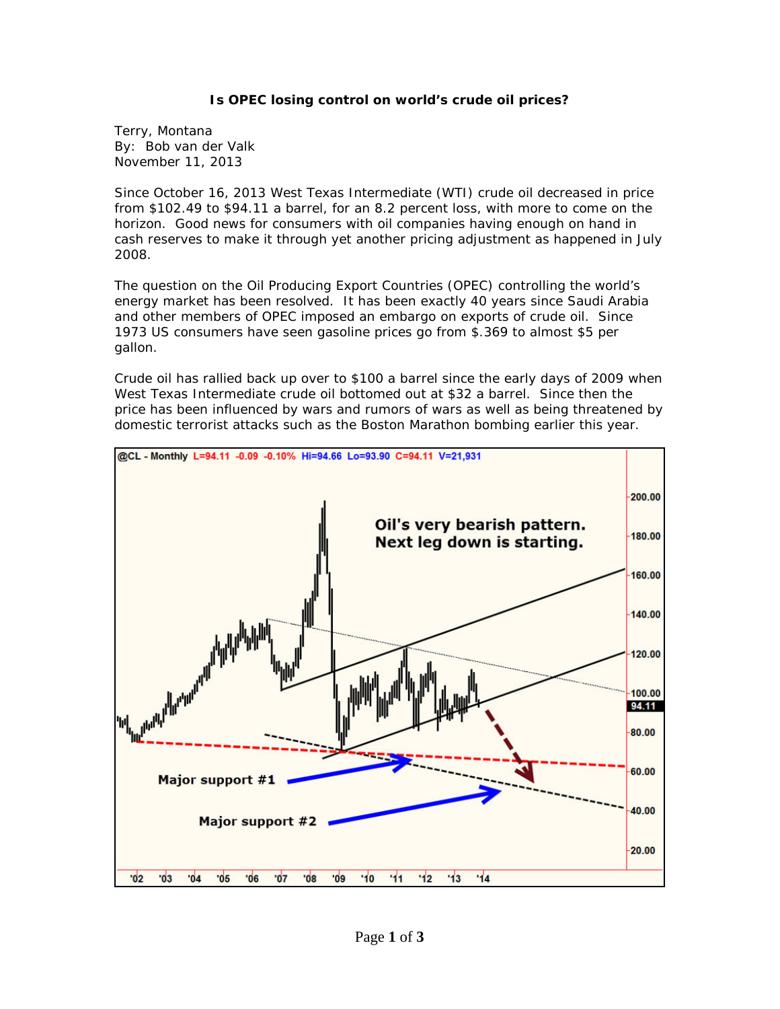## **Is OPEC losing control on world's crude oil prices?**

Terry, Montana By: Bob van der Valk November 11, 2013

Since October 16, 2013 West Texas Intermediate (WTI) crude oil decreased in price from \$102.49 to \$94.11 a barrel, for an 8.2 percent loss, with more to come on the horizon. Good news for consumers with oil companies having enough on hand in cash reserves to make it through yet another pricing adjustment as happened in July 2008.

The question on the Oil Producing Export Countries (OPEC) controlling the world's energy market has been resolved. It has been exactly 40 years since Saudi Arabia and other members of OPEC imposed an embargo on exports of crude oil. Since 1973 US consumers have seen gasoline prices go from \$.369 to almost \$5 per gallon.

Crude oil has rallied back up over to \$100 a barrel since the early days of 2009 when West Texas Intermediate crude oil bottomed out at \$32 a barrel. Since then the price has been influenced by wars and rumors of wars as well as being threatened by domestic terrorist attacks such as the Boston Marathon bombing earlier this year.

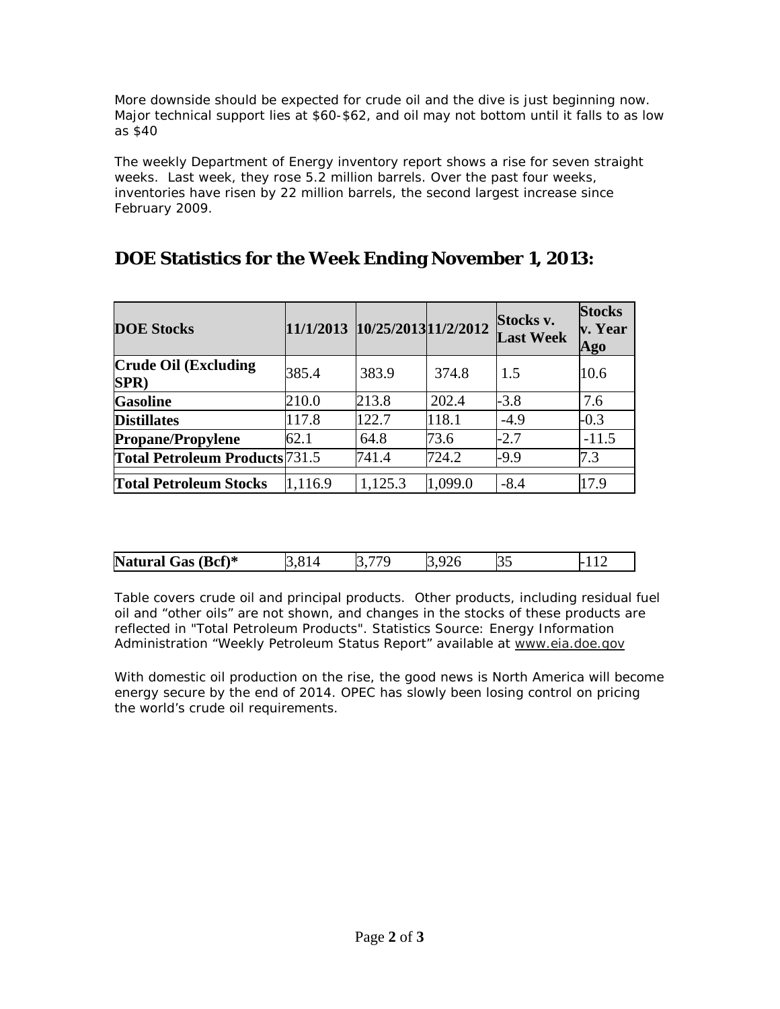More downside should be expected for crude oil and the dive is just beginning now. Major technical support lies at \$60-\$62, and oil may not bottom until it falls to as low as \$40

The weekly Department of Energy inventory report shows a rise for seven straight weeks. Last week, they rose 5.2 million barrels. Over the past four weeks, inventories have risen by 22 million barrels, the second largest increase since February 2009.

| <b>DOE Stocks</b>                     | 11/1/2013 10/25/2013 11/2/2012 |         |         | Stocks v.<br><b>Last Week</b> | <b>Stocks</b><br>v. Year<br>Ago |
|---------------------------------------|--------------------------------|---------|---------|-------------------------------|---------------------------------|
| <b>Crude Oil (Excluding</b><br>SPR)   | 385.4                          | 383.9   | 374.8   | 1.5                           | 10.6                            |
| <b>Gasoline</b>                       | 210.0                          | 213.8   | 202.4   | $-3.8$                        | 7.6                             |
| <b>Distillates</b>                    | 117.8                          | 122.7   | 118.1   | $-4.9$                        | $-0.3$                          |
| <b>Propane/Propylene</b>              | 62.1                           | 64.8    | 73.6    | $-2.7$                        | $-11.5$                         |
| <b>Total Petroleum Products</b> 731.5 |                                | 741.4   | 724.2   | $-9.9$                        | 7.3                             |
| <b>Total Petroleum Stocks</b>         | 1,116.9                        | 1,125.3 | 1,099.0 | $-8.4$                        | 17.9                            |

## **DOE Statistics for the Week Ending November 1, 2013:**

| <b>Na</b><br>$Bcf)*$<br>-----<br>Gas<br>turai | $\tilde{\phantom{a}}$ | .<br>. | $\sim$ | . |
|-----------------------------------------------|-----------------------|--------|--------|---|

Table covers crude oil and principal products. Other products, including residual fuel oil and "other oils" are not shown, and changes in the stocks of these products are reflected in "Total Petroleum Products". Statistics Source: Energy Information Administration "*Weekly Petroleum Status Report*" available at [www.eia.doe.gov](http://powerhousetl.us6.list-manage1.com/track/click?u=6eaf3cbb10b2bb6c711787d5f&id=acd5f94ded&e=8a04db3983)

With domestic oil production on the rise, the good news is North America will become energy secure by the end of 2014. OPEC has slowly been losing control on pricing the world's crude oil requirements.